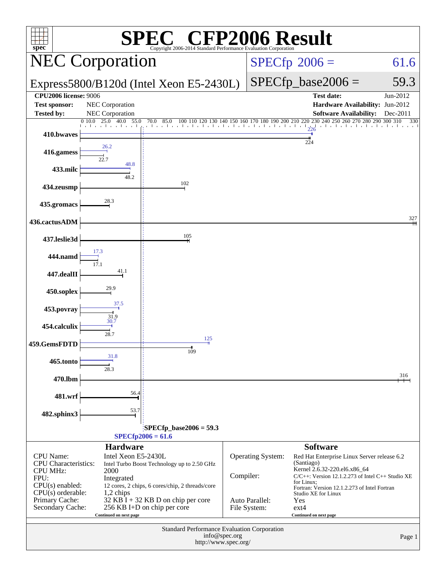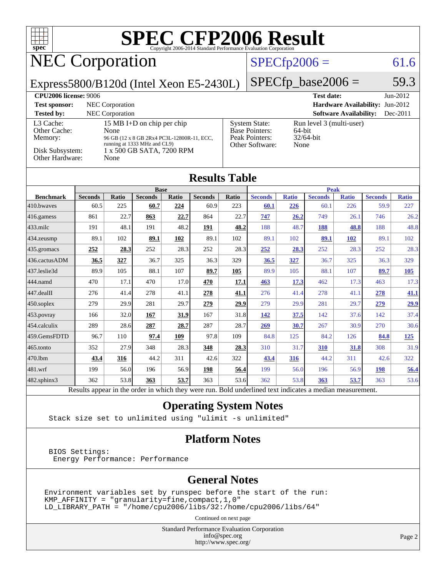| <b>SPEC CFP2006 Result</b><br>spec <sup>®</sup><br>Copyright 2006-2014 Standard Performance Evaluation Corporation                                                                                                                                                                                                                                                                                      |                        |                     |                        |                       |                        |                      |                        |                         |                        |                     |                        |                     |
|---------------------------------------------------------------------------------------------------------------------------------------------------------------------------------------------------------------------------------------------------------------------------------------------------------------------------------------------------------------------------------------------------------|------------------------|---------------------|------------------------|-----------------------|------------------------|----------------------|------------------------|-------------------------|------------------------|---------------------|------------------------|---------------------|
| <b>NEC Corporation</b>                                                                                                                                                                                                                                                                                                                                                                                  |                        |                     |                        |                       |                        |                      |                        | $SPECfp2006 =$          |                        |                     |                        | 61.6                |
| Express5800/B120d (Intel Xeon E5-2430L)                                                                                                                                                                                                                                                                                                                                                                 |                        |                     |                        |                       |                        | $SPECfp\_base2006 =$ |                        |                         |                        | 59.3                |                        |                     |
| <b>CPU2006 license: 9006</b><br><b>Test date:</b><br>NEC Corporation<br>Hardware Availability: Jun-2012<br><b>Test sponsor:</b><br><b>Tested by:</b><br><b>NEC</b> Corporation<br><b>Software Availability:</b>                                                                                                                                                                                         |                        |                     |                        |                       |                        |                      | Jun-2012<br>Dec-2011   |                         |                        |                     |                        |                     |
| L <sub>3</sub> Cache:<br>15 MB I+D on chip per chip<br><b>System State:</b><br>Run level 3 (multi-user)<br>Base Pointers:<br>Other Cache:<br>None<br>64-bit<br><b>Peak Pointers:</b><br>32/64-bit<br>Memory:<br>96 GB (12 x 8 GB 2Rx4 PC3L-12800R-11, ECC,<br>running at 1333 MHz and CL9)<br>Other Software:<br>None<br>Disk Subsystem:<br>1 x 500 GB SATA, 7200 RPM<br><b>Other Hardware:</b><br>None |                        |                     |                        |                       |                        |                      |                        |                         |                        |                     |                        |                     |
| <b>Results Table</b>                                                                                                                                                                                                                                                                                                                                                                                    |                        |                     |                        |                       |                        |                      |                        |                         |                        |                     |                        |                     |
|                                                                                                                                                                                                                                                                                                                                                                                                         |                        |                     | <b>Base</b>            |                       |                        |                      |                        |                         |                        | <b>Peak</b>         |                        |                     |
| <b>Benchmark</b><br>410.bwayes                                                                                                                                                                                                                                                                                                                                                                          | <b>Seconds</b><br>60.5 | <b>Ratio</b><br>225 | <b>Seconds</b><br>60.7 | Ratio<br>224          | <b>Seconds</b><br>60.9 | Ratio<br>223         | <b>Seconds</b><br>60.1 | <b>Ratio</b><br>226     | <b>Seconds</b><br>60.1 | <b>Ratio</b><br>226 | <b>Seconds</b><br>59.9 | <b>Ratio</b><br>227 |
| 416.gamess                                                                                                                                                                                                                                                                                                                                                                                              | 861                    | 22.7                | 863                    | 22.7                  | 864                    | 22.7                 | 747                    | 26.2                    | 749                    | 26.1                | 746                    | 26.2                |
| $433$ .milc                                                                                                                                                                                                                                                                                                                                                                                             | 191                    | 48.1                | 191                    | 48.2                  | 191                    | 48.2                 | 188                    | 48.7                    | 188                    | 48.8                | 188                    | 48.8                |
| 434.zeusmp                                                                                                                                                                                                                                                                                                                                                                                              | 89.1                   | 102                 | 89.1                   | 102                   | 89.1                   | 102                  | 89.1                   | 102                     | 89.1                   | 102                 | 89.1                   | 102                 |
| 435.gromacs                                                                                                                                                                                                                                                                                                                                                                                             | 252                    | 28.3                | 252                    | 28.3                  | 252                    | 28.3                 | 252                    | 28.3                    | 252                    | 28.3                | 252                    | 28.3                |
| 436.cactusADM                                                                                                                                                                                                                                                                                                                                                                                           | 36.5                   | 327                 | 36.7                   | 325                   | 36.3                   | 329                  | 36.5                   | 327                     | 36.7                   | 325                 | 36.3                   | 329                 |
| 437.leslie3d                                                                                                                                                                                                                                                                                                                                                                                            | 89.9                   | 105                 | 88.1                   | 107                   | 89.7                   | 105                  | 89.9                   | 105                     | 88.1                   | 107                 | 89.7                   | 105                 |
| 444.namd                                                                                                                                                                                                                                                                                                                                                                                                | 470                    | 17.1                | 470                    | 17.0                  | 470                    | 17.1                 | 463                    | 17.3                    | 462                    | 17.3                | 463                    | 17.3                |
| 447.dealII                                                                                                                                                                                                                                                                                                                                                                                              | 276                    | 41.4                | 278                    | 41.1                  | 278                    | 41.1                 | 276                    | 41.4                    | 278                    | 41.1                | 278                    | 41.1                |
| 450.soplex                                                                                                                                                                                                                                                                                                                                                                                              | 279                    | 29.9                | 281                    | 29.7                  | 279                    | 29.9                 | 279                    | 29.9                    | 281                    | 29.7                | 279                    | 29.9                |
| 453.povray                                                                                                                                                                                                                                                                                                                                                                                              | 166                    | 32.0                | 167                    | 31.9                  | 167                    | 31.8                 | 142                    | 37.5                    | 142                    | 37.6                | 142                    | 37.4                |
| 454.calculix                                                                                                                                                                                                                                                                                                                                                                                            | 289                    | 28.6                | 287                    | 28.7                  | 287                    | 28.7                 | 269                    | 30.7                    | 267                    | 30.9                | 270                    | 30.6                |
| 459.GemsFDTD                                                                                                                                                                                                                                                                                                                                                                                            | 96.7                   | 110                 | 97.4                   | 109                   | 97.8                   | 109                  | 84.8                   | 125                     | 84.2                   | 126                 | 84.8                   | 125                 |
| 465.tonto                                                                                                                                                                                                                                                                                                                                                                                               | 352                    | 27.9                | 348                    | 28.3                  | 348                    | 28.3                 | 310                    | 31.7                    | 310                    | 31.8                | 308                    | 31.9                |
| 470.1bm                                                                                                                                                                                                                                                                                                                                                                                                 | 43.4                   | 316                 | 44.2                   | 311                   | 42.6                   | 322                  | 43.4                   | 316                     | 44.2                   | 311                 | 42.6                   | 322                 |
| 481.wrf                                                                                                                                                                                                                                                                                                                                                                                                 | 199                    | 56.0                | 196                    | 56.9                  | 198                    | 56.4                 | 199                    | 56.0                    | 196                    | 56.9                | 198                    | 56.4                |
| 482.sphinx3<br>$\mathbf{D}$ .                                                                                                                                                                                                                                                                                                                                                                           | 362<br>14.             | 53.8                | 363<br>1.1             | 53.7<br>$-1.3 - 1.41$ | 363                    | 53.6<br>$D - 1.1$    | 362<br>1.111<br>$-11$  | 53.8<br><b>Contract</b> | 363<br>$1^{\circ}$     | 53.7                | 363                    | 53.6                |

Results appear in the [order in which they were run.](http://www.spec.org/auto/cpu2006/Docs/result-fields.html#RunOrder) Bold underlined text [indicates a median measurement.](http://www.spec.org/auto/cpu2006/Docs/result-fields.html#Median)

### **[Operating System Notes](http://www.spec.org/auto/cpu2006/Docs/result-fields.html#OperatingSystemNotes)**

Stack size set to unlimited using "ulimit -s unlimited"

### **[Platform Notes](http://www.spec.org/auto/cpu2006/Docs/result-fields.html#PlatformNotes)**

 BIOS Settings: Energy Performance: Performance

### **[General Notes](http://www.spec.org/auto/cpu2006/Docs/result-fields.html#GeneralNotes)**

Environment variables set by runspec before the start of the run: KMP\_AFFINITY = "granularity=fine,compact,1,0" LD\_LIBRARY\_PATH = "/home/cpu2006/libs/32:/home/cpu2006/libs/64"

Continued on next page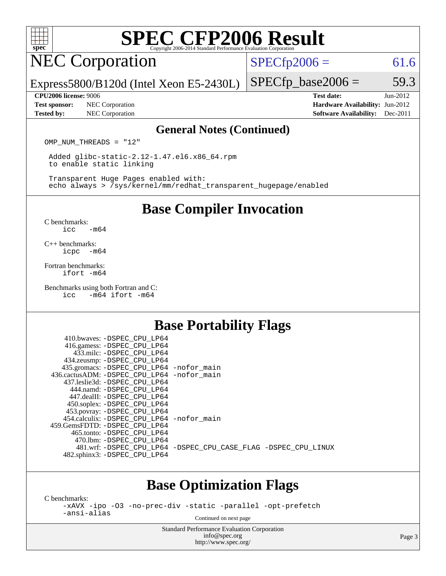

# **[SPEC CFP2006 Result](http://www.spec.org/auto/cpu2006/Docs/result-fields.html#SPECCFP2006Result)**

# NEC Corporation

 $SPECTp2006 = 61.6$ 

Express5800/B120d (Intel Xeon E5-2430L)

**[Test sponsor:](http://www.spec.org/auto/cpu2006/Docs/result-fields.html#Testsponsor)** NEC Corporation **NEC Corporation [Hardware Availability:](http://www.spec.org/auto/cpu2006/Docs/result-fields.html#HardwareAvailability)** Jun-2012 **[Tested by:](http://www.spec.org/auto/cpu2006/Docs/result-fields.html#Testedby)** NEC Corporation **[Software Availability:](http://www.spec.org/auto/cpu2006/Docs/result-fields.html#SoftwareAvailability)** Dec-2011

 $SPECTp\_base2006 = 59.3$ **[CPU2006 license:](http://www.spec.org/auto/cpu2006/Docs/result-fields.html#CPU2006license)** 9006 **[Test date:](http://www.spec.org/auto/cpu2006/Docs/result-fields.html#Testdate)** Jun-2012

### **[General Notes \(Continued\)](http://www.spec.org/auto/cpu2006/Docs/result-fields.html#GeneralNotes)**

OMP NUM THREADS = "12"

 Added glibc-static-2.12-1.47.el6.x86\_64.rpm to enable static linking

 Transparent Huge Pages enabled with: echo always > /sys/kernel/mm/redhat\_transparent\_hugepage/enabled

### **[Base Compiler Invocation](http://www.spec.org/auto/cpu2006/Docs/result-fields.html#BaseCompilerInvocation)**

[C benchmarks](http://www.spec.org/auto/cpu2006/Docs/result-fields.html#Cbenchmarks): [icc -m64](http://www.spec.org/cpu2006/results/res2012q3/cpu2006-20120701-23296.flags.html#user_CCbase_intel_icc_64bit_0b7121f5ab7cfabee23d88897260401c)

[C++ benchmarks:](http://www.spec.org/auto/cpu2006/Docs/result-fields.html#CXXbenchmarks) [icpc -m64](http://www.spec.org/cpu2006/results/res2012q3/cpu2006-20120701-23296.flags.html#user_CXXbase_intel_icpc_64bit_bedb90c1146cab66620883ef4f41a67e)

[Fortran benchmarks](http://www.spec.org/auto/cpu2006/Docs/result-fields.html#Fortranbenchmarks): [ifort -m64](http://www.spec.org/cpu2006/results/res2012q3/cpu2006-20120701-23296.flags.html#user_FCbase_intel_ifort_64bit_ee9d0fb25645d0210d97eb0527dcc06e)

[Benchmarks using both Fortran and C](http://www.spec.org/auto/cpu2006/Docs/result-fields.html#BenchmarksusingbothFortranandC): [icc -m64](http://www.spec.org/cpu2006/results/res2012q3/cpu2006-20120701-23296.flags.html#user_CC_FCbase_intel_icc_64bit_0b7121f5ab7cfabee23d88897260401c) [ifort -m64](http://www.spec.org/cpu2006/results/res2012q3/cpu2006-20120701-23296.flags.html#user_CC_FCbase_intel_ifort_64bit_ee9d0fb25645d0210d97eb0527dcc06e)

### **[Base Portability Flags](http://www.spec.org/auto/cpu2006/Docs/result-fields.html#BasePortabilityFlags)**

| 410.bwaves: -DSPEC_CPU_LP64                              |                                                                |
|----------------------------------------------------------|----------------------------------------------------------------|
| 416.gamess: -DSPEC_CPU_LP64<br>433.milc: -DSPEC CPU LP64 |                                                                |
| 434.zeusmp: -DSPEC_CPU_LP64                              |                                                                |
| 435.gromacs: -DSPEC_CPU_LP64 -nofor_main                 |                                                                |
| 436.cactusADM: -DSPEC CPU LP64 -nofor main               |                                                                |
| 437.leslie3d: -DSPEC CPU LP64                            |                                                                |
| 444.namd: -DSPEC CPU LP64                                |                                                                |
| 447.dealII: -DSPEC CPU LP64                              |                                                                |
| 450.soplex: -DSPEC_CPU_LP64                              |                                                                |
| 453.povray: -DSPEC_CPU_LP64                              |                                                                |
| 454.calculix: - DSPEC CPU LP64 - nofor main              |                                                                |
| 459.GemsFDTD: -DSPEC CPU LP64                            |                                                                |
| 465.tonto: -DSPEC CPU LP64                               |                                                                |
| 470.1bm: - DSPEC CPU LP64                                |                                                                |
|                                                          | 481.wrf: -DSPEC_CPU_LP64 -DSPEC_CPU_CASE_FLAG -DSPEC_CPU_LINUX |
| 482.sphinx3: -DSPEC_CPU_LP64                             |                                                                |
|                                                          |                                                                |

### **[Base Optimization Flags](http://www.spec.org/auto/cpu2006/Docs/result-fields.html#BaseOptimizationFlags)**

[C benchmarks](http://www.spec.org/auto/cpu2006/Docs/result-fields.html#Cbenchmarks):

[-xAVX](http://www.spec.org/cpu2006/results/res2012q3/cpu2006-20120701-23296.flags.html#user_CCbase_f-xAVX) [-ipo](http://www.spec.org/cpu2006/results/res2012q3/cpu2006-20120701-23296.flags.html#user_CCbase_f-ipo) [-O3](http://www.spec.org/cpu2006/results/res2012q3/cpu2006-20120701-23296.flags.html#user_CCbase_f-O3) [-no-prec-div](http://www.spec.org/cpu2006/results/res2012q3/cpu2006-20120701-23296.flags.html#user_CCbase_f-no-prec-div) [-static](http://www.spec.org/cpu2006/results/res2012q3/cpu2006-20120701-23296.flags.html#user_CCbase_f-static) [-parallel](http://www.spec.org/cpu2006/results/res2012q3/cpu2006-20120701-23296.flags.html#user_CCbase_f-parallel) [-opt-prefetch](http://www.spec.org/cpu2006/results/res2012q3/cpu2006-20120701-23296.flags.html#user_CCbase_f-opt-prefetch) [-ansi-alias](http://www.spec.org/cpu2006/results/res2012q3/cpu2006-20120701-23296.flags.html#user_CCbase_f-ansi-alias)

Continued on next page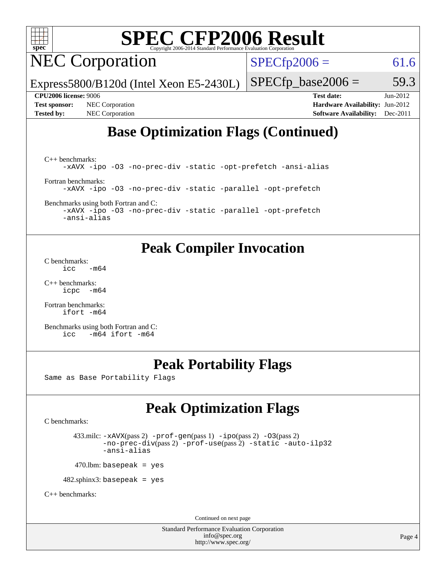

# **[SPEC CFP2006 Result](http://www.spec.org/auto/cpu2006/Docs/result-fields.html#SPECCFP2006Result)**

NEC Corporation

 $SPECTp2006 = 61.6$ 

Express5800/B120d (Intel Xeon E5-2430L)

**[Test sponsor:](http://www.spec.org/auto/cpu2006/Docs/result-fields.html#Testsponsor)** NEC Corporation **[Hardware Availability:](http://www.spec.org/auto/cpu2006/Docs/result-fields.html#HardwareAvailability)** Jun-2012 **[Tested by:](http://www.spec.org/auto/cpu2006/Docs/result-fields.html#Testedby)** NEC Corporation **[Software Availability:](http://www.spec.org/auto/cpu2006/Docs/result-fields.html#SoftwareAvailability)** Dec-2011

 $SPECTp\_base2006 = 59.3$ **[CPU2006 license:](http://www.spec.org/auto/cpu2006/Docs/result-fields.html#CPU2006license)** 9006 **[Test date:](http://www.spec.org/auto/cpu2006/Docs/result-fields.html#Testdate)** Jun-2012

## **[Base Optimization Flags \(Continued\)](http://www.spec.org/auto/cpu2006/Docs/result-fields.html#BaseOptimizationFlags)**

[C++ benchmarks:](http://www.spec.org/auto/cpu2006/Docs/result-fields.html#CXXbenchmarks) [-xAVX](http://www.spec.org/cpu2006/results/res2012q3/cpu2006-20120701-23296.flags.html#user_CXXbase_f-xAVX) [-ipo](http://www.spec.org/cpu2006/results/res2012q3/cpu2006-20120701-23296.flags.html#user_CXXbase_f-ipo) [-O3](http://www.spec.org/cpu2006/results/res2012q3/cpu2006-20120701-23296.flags.html#user_CXXbase_f-O3) [-no-prec-div](http://www.spec.org/cpu2006/results/res2012q3/cpu2006-20120701-23296.flags.html#user_CXXbase_f-no-prec-div) [-static](http://www.spec.org/cpu2006/results/res2012q3/cpu2006-20120701-23296.flags.html#user_CXXbase_f-static) [-opt-prefetch](http://www.spec.org/cpu2006/results/res2012q3/cpu2006-20120701-23296.flags.html#user_CXXbase_f-opt-prefetch) [-ansi-alias](http://www.spec.org/cpu2006/results/res2012q3/cpu2006-20120701-23296.flags.html#user_CXXbase_f-ansi-alias) [Fortran benchmarks](http://www.spec.org/auto/cpu2006/Docs/result-fields.html#Fortranbenchmarks): [-xAVX](http://www.spec.org/cpu2006/results/res2012q3/cpu2006-20120701-23296.flags.html#user_FCbase_f-xAVX) [-ipo](http://www.spec.org/cpu2006/results/res2012q3/cpu2006-20120701-23296.flags.html#user_FCbase_f-ipo) [-O3](http://www.spec.org/cpu2006/results/res2012q3/cpu2006-20120701-23296.flags.html#user_FCbase_f-O3) [-no-prec-div](http://www.spec.org/cpu2006/results/res2012q3/cpu2006-20120701-23296.flags.html#user_FCbase_f-no-prec-div) [-static](http://www.spec.org/cpu2006/results/res2012q3/cpu2006-20120701-23296.flags.html#user_FCbase_f-static) [-parallel](http://www.spec.org/cpu2006/results/res2012q3/cpu2006-20120701-23296.flags.html#user_FCbase_f-parallel) [-opt-prefetch](http://www.spec.org/cpu2006/results/res2012q3/cpu2006-20120701-23296.flags.html#user_FCbase_f-opt-prefetch)

[Benchmarks using both Fortran and C](http://www.spec.org/auto/cpu2006/Docs/result-fields.html#BenchmarksusingbothFortranandC):

[-xAVX](http://www.spec.org/cpu2006/results/res2012q3/cpu2006-20120701-23296.flags.html#user_CC_FCbase_f-xAVX) [-ipo](http://www.spec.org/cpu2006/results/res2012q3/cpu2006-20120701-23296.flags.html#user_CC_FCbase_f-ipo) [-O3](http://www.spec.org/cpu2006/results/res2012q3/cpu2006-20120701-23296.flags.html#user_CC_FCbase_f-O3) [-no-prec-div](http://www.spec.org/cpu2006/results/res2012q3/cpu2006-20120701-23296.flags.html#user_CC_FCbase_f-no-prec-div) [-static](http://www.spec.org/cpu2006/results/res2012q3/cpu2006-20120701-23296.flags.html#user_CC_FCbase_f-static) [-parallel](http://www.spec.org/cpu2006/results/res2012q3/cpu2006-20120701-23296.flags.html#user_CC_FCbase_f-parallel) [-opt-prefetch](http://www.spec.org/cpu2006/results/res2012q3/cpu2006-20120701-23296.flags.html#user_CC_FCbase_f-opt-prefetch) [-ansi-alias](http://www.spec.org/cpu2006/results/res2012q3/cpu2006-20120701-23296.flags.html#user_CC_FCbase_f-ansi-alias)

### **[Peak Compiler Invocation](http://www.spec.org/auto/cpu2006/Docs/result-fields.html#PeakCompilerInvocation)**

[C benchmarks](http://www.spec.org/auto/cpu2006/Docs/result-fields.html#Cbenchmarks):  $\text{icc}$   $-\text{m64}$ 

[C++ benchmarks:](http://www.spec.org/auto/cpu2006/Docs/result-fields.html#CXXbenchmarks) [icpc -m64](http://www.spec.org/cpu2006/results/res2012q3/cpu2006-20120701-23296.flags.html#user_CXXpeak_intel_icpc_64bit_bedb90c1146cab66620883ef4f41a67e)

[Fortran benchmarks](http://www.spec.org/auto/cpu2006/Docs/result-fields.html#Fortranbenchmarks): [ifort -m64](http://www.spec.org/cpu2006/results/res2012q3/cpu2006-20120701-23296.flags.html#user_FCpeak_intel_ifort_64bit_ee9d0fb25645d0210d97eb0527dcc06e)

[Benchmarks using both Fortran and C](http://www.spec.org/auto/cpu2006/Docs/result-fields.html#BenchmarksusingbothFortranandC): [icc -m64](http://www.spec.org/cpu2006/results/res2012q3/cpu2006-20120701-23296.flags.html#user_CC_FCpeak_intel_icc_64bit_0b7121f5ab7cfabee23d88897260401c) [ifort -m64](http://www.spec.org/cpu2006/results/res2012q3/cpu2006-20120701-23296.flags.html#user_CC_FCpeak_intel_ifort_64bit_ee9d0fb25645d0210d97eb0527dcc06e)

### **[Peak Portability Flags](http://www.spec.org/auto/cpu2006/Docs/result-fields.html#PeakPortabilityFlags)**

Same as Base Portability Flags

## **[Peak Optimization Flags](http://www.spec.org/auto/cpu2006/Docs/result-fields.html#PeakOptimizationFlags)**

[C benchmarks](http://www.spec.org/auto/cpu2006/Docs/result-fields.html#Cbenchmarks):

 433.milc: [-xAVX](http://www.spec.org/cpu2006/results/res2012q3/cpu2006-20120701-23296.flags.html#user_peakPASS2_CFLAGSPASS2_LDFLAGS433_milc_f-xAVX)(pass 2) [-prof-gen](http://www.spec.org/cpu2006/results/res2012q3/cpu2006-20120701-23296.flags.html#user_peakPASS1_CFLAGSPASS1_LDFLAGS433_milc_prof_gen_e43856698f6ca7b7e442dfd80e94a8fc)(pass 1) [-ipo](http://www.spec.org/cpu2006/results/res2012q3/cpu2006-20120701-23296.flags.html#user_peakPASS2_CFLAGSPASS2_LDFLAGS433_milc_f-ipo)(pass 2) [-O3](http://www.spec.org/cpu2006/results/res2012q3/cpu2006-20120701-23296.flags.html#user_peakPASS2_CFLAGSPASS2_LDFLAGS433_milc_f-O3)(pass 2) [-no-prec-div](http://www.spec.org/cpu2006/results/res2012q3/cpu2006-20120701-23296.flags.html#user_peakPASS2_CFLAGSPASS2_LDFLAGS433_milc_f-no-prec-div)(pass 2) [-prof-use](http://www.spec.org/cpu2006/results/res2012q3/cpu2006-20120701-23296.flags.html#user_peakPASS2_CFLAGSPASS2_LDFLAGS433_milc_prof_use_bccf7792157ff70d64e32fe3e1250b55)(pass 2) [-static](http://www.spec.org/cpu2006/results/res2012q3/cpu2006-20120701-23296.flags.html#user_peakOPTIMIZE433_milc_f-static) [-auto-ilp32](http://www.spec.org/cpu2006/results/res2012q3/cpu2006-20120701-23296.flags.html#user_peakCOPTIMIZE433_milc_f-auto-ilp32) [-ansi-alias](http://www.spec.org/cpu2006/results/res2012q3/cpu2006-20120701-23296.flags.html#user_peakCOPTIMIZE433_milc_f-ansi-alias)

 $470$ .lbm: basepeak = yes

482.sphinx3: basepeak = yes

[C++ benchmarks:](http://www.spec.org/auto/cpu2006/Docs/result-fields.html#CXXbenchmarks)

Continued on next page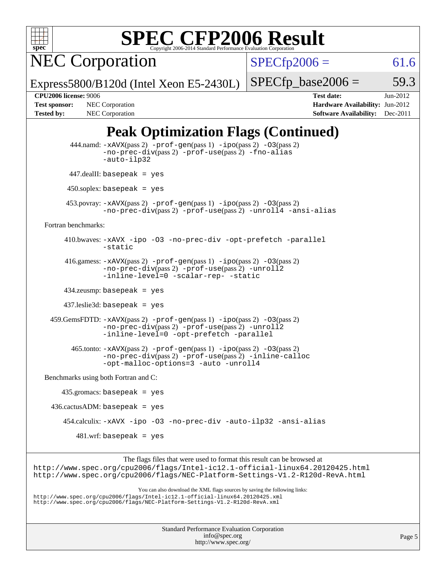

# **[SPEC CFP2006 Result](http://www.spec.org/auto/cpu2006/Docs/result-fields.html#SPECCFP2006Result)**

NEC Corporation

 $SPECfp2006 = 61.6$  $SPECfp2006 = 61.6$ 

Express5800/B120d (Intel Xeon E5-2430L)

 $SPECTp\_base2006 = 59.3$ 

**[Tested by:](http://www.spec.org/auto/cpu2006/Docs/result-fields.html#Testedby)** NEC Corporation **[Software Availability:](http://www.spec.org/auto/cpu2006/Docs/result-fields.html#SoftwareAvailability)** Dec-2011

**[CPU2006 license:](http://www.spec.org/auto/cpu2006/Docs/result-fields.html#CPU2006license)** 9006 **[Test date:](http://www.spec.org/auto/cpu2006/Docs/result-fields.html#Testdate)** Jun-2012 **[Test sponsor:](http://www.spec.org/auto/cpu2006/Docs/result-fields.html#Testsponsor)** NEC Corporation **[Hardware Availability:](http://www.spec.org/auto/cpu2006/Docs/result-fields.html#HardwareAvailability)** Jun-2012

## **[Peak Optimization Flags \(Continued\)](http://www.spec.org/auto/cpu2006/Docs/result-fields.html#PeakOptimizationFlags)**

| 444.namd: -xAVX(pass 2) -prof-gen(pass 1) -ipo(pass 2) -03(pass 2)<br>$-no\text{-prec-div}(pass 2)$ -prof-use(pass 2) -fno-alias<br>-auto-ilp32                                                                                         |  |
|-----------------------------------------------------------------------------------------------------------------------------------------------------------------------------------------------------------------------------------------|--|
| $447$ .dealII: basepeak = yes                                                                                                                                                                                                           |  |
| $450$ .soplex: basepeak = yes                                                                                                                                                                                                           |  |
| $453.$ povray: $-xAVX(pass 2)$ -prof-gen(pass 1) -ipo(pass 2) -03(pass 2)<br>-no-prec-div(pass 2) -prof-use(pass 2) -unroll4 -ansi-alias                                                                                                |  |
| Fortran benchmarks:                                                                                                                                                                                                                     |  |
| 410.bwaves: -xAVX -ipo -03 -no-prec-div -opt-prefetch -parallel<br>-static                                                                                                                                                              |  |
| 416.gamess: $-x$ AVX(pass 2) $-prof-gen(pass 1) -ipo(pass 2) -03(pass 2)$<br>-no-prec-div(pass 2) -prof-use(pass 2) -unroll2<br>-inline-level=0 -scalar-rep- -static                                                                    |  |
| $434$ .zeusmp: basepeak = yes                                                                                                                                                                                                           |  |
| $437$ leslie3d: basepeak = yes                                                                                                                                                                                                          |  |
| $459.GemsFDD: -xAVX(pass 2) -prof-gen(pass 1) -ipo(pass 2) -O3(pass 2)$<br>-no-prec-div(pass 2) -prof-use(pass 2) -unroll2<br>-inline-level=0 -opt-prefetch -parallel                                                                   |  |
| $465$ .tonto: $-xAVX(pass 2)$ -prof-gen(pass 1) -ipo(pass 2) -03(pass 2)<br>-no-prec-div(pass 2) -prof-use(pass 2) -inline-calloc<br>-opt-malloc-options=3 -auto -unroll4                                                               |  |
| Benchmarks using both Fortran and C:                                                                                                                                                                                                    |  |
| $435.gromacs: basepeak = yes$                                                                                                                                                                                                           |  |
| $436.cactusADM: basepeak = yes$                                                                                                                                                                                                         |  |
| 454.calculix: -xAVX -ipo -03 -no-prec-div -auto-ilp32 -ansi-alias                                                                                                                                                                       |  |
| $481.wrf$ : basepeak = yes                                                                                                                                                                                                              |  |
| The flags files that were used to format this result can be browsed at<br>http://www.spec.org/cpu2006/flags/Intel-ic12.1-official-linux64.20120425.html<br>http://www.spec.org/cpu2006/flags/NEC-Platform-Settings-V1.2-R120d-RevA.html |  |
|                                                                                                                                                                                                                                         |  |

You can also download the XML flags sources by saving the following links: <http://www.spec.org/cpu2006/flags/Intel-ic12.1-official-linux64.20120425.xml> <http://www.spec.org/cpu2006/flags/NEC-Platform-Settings-V1.2-R120d-RevA.xml>